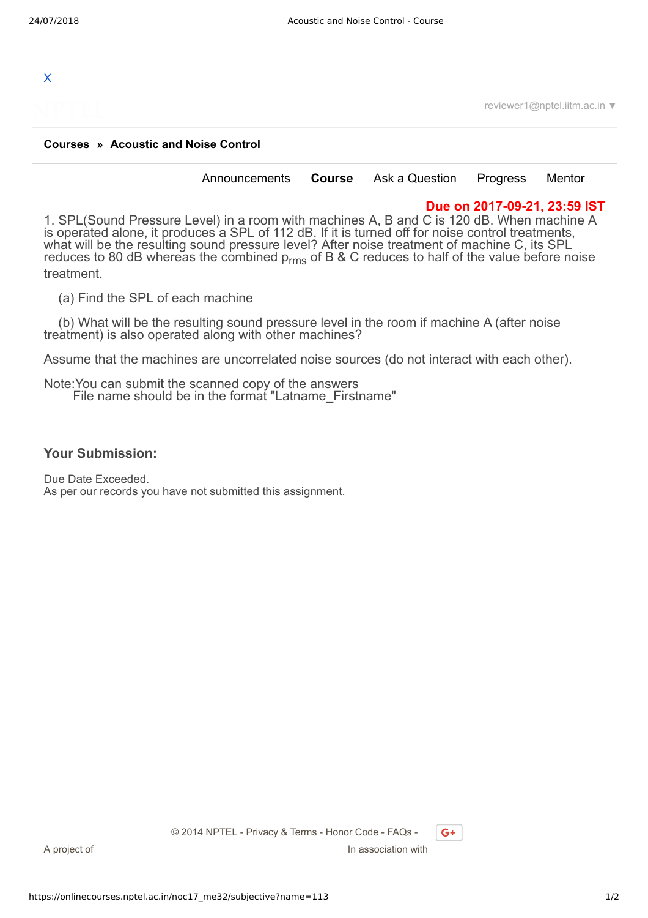

reviewer1@nptel.iitm.ac.in ▼

## **[Courses](https://onlinecourses.nptel.ac.in/) » [Acoustic and Noise Control](https://onlinecourses.nptel.ac.in/noc17_me32/course)**

[Announcements](https://onlinecourses.nptel.ac.in/noc17_me32/announcements) **[Course](https://onlinecourses.nptel.ac.in/noc17_me32/course)** [Ask a Question](https://onlinecourses.nptel.ac.in/noc17_me32/forum) [Progress](https://onlinecourses.nptel.ac.in/noc17_me32/student/home) [Mentor](https://onlinecourses.nptel.ac.in/noc17_me32/student/mentor)

## **Due on 2017-09-21, 23:59 IST**

1. SPL(Sound Pressure Level) in a room with machines A, B and C is 120 dB. When machine A is operated alone, it produces a SPL of 112 dB. If it is turned off for noise control treatments, what will be the resulting sound pressure level? After noise treatment of machine C, its SPL reduces to 80 dB whereas the combined  $p_{rms}$  of B & C reduces to half of the value before noise treatment.

(a) Find the SPL of each machine

 (b) What will be the resulting sound pressure level in the room if machine A (after noise treatment) is also operated along with other machines?

Assume that the machines are uncorrelated noise sources (do not interact with each other).

Note:You can submit the scanned copy of the answers File name should be in the format "Latname\_Firstname"

## **Your Submission:**

Due Date Exceeded. As per our records you have not submitted this assignment.

 $G+$